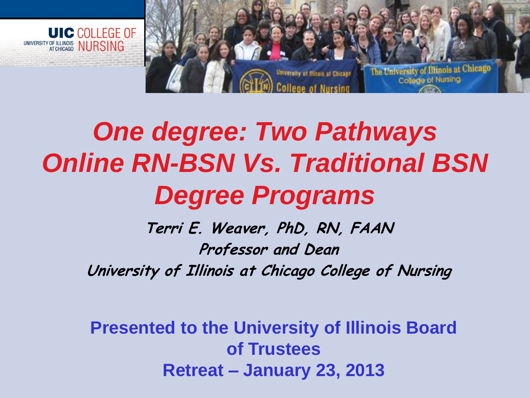



## *One degree: Two Pathways Online RN-BSN Vs. Traditional BSN Degree Programs*

**Terri E. Weaver, PhD, RN, FAAN Professor and Dean University of Illinois at Chicago College of Nursing**

**Presented to the University of Illinois Board of Trustees Retreat – January 23, 2013**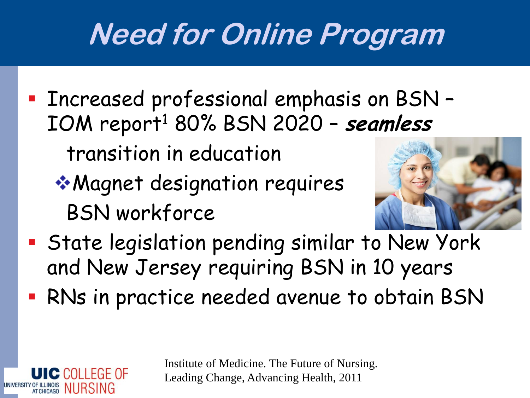## **Need for Online Program**

**Exerceased professional emphasis on BSN -**IOM report<sup>1</sup> 80% BSN 2020 – **seamless** 

transition in education

 $C$  COLLEGE OF

OF ILLINOIS NURSING

Magnet designation requires BSN workforce



- State legislation pending similar to New York and New Jersey requiring BSN in 10 years
- RNs in practice needed avenue to obtain BSN

Institute of Medicine. The Future of Nursing. Leading Change, Advancing Health, 2011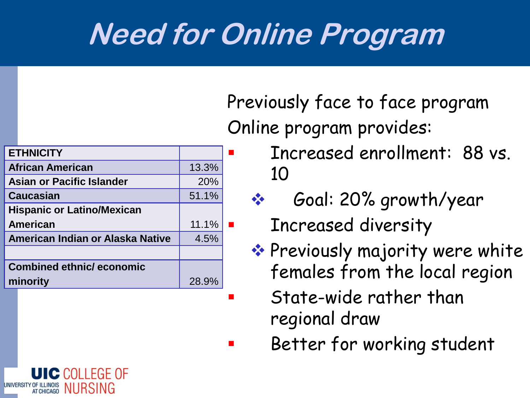## **Need for Online Program**

| <b>ETHNICITY</b>                        |       |  |
|-----------------------------------------|-------|--|
| <b>African American</b>                 | 13.3% |  |
| <b>Asian or Pacific Islander</b>        | 20%   |  |
| <b>Caucasian</b>                        | 51.1% |  |
| <b>Hispanic or Latino/Mexican</b>       |       |  |
| American                                | 11.1% |  |
| <b>American Indian or Alaska Native</b> | 4.5%  |  |
|                                         |       |  |
| <b>Combined ethnic/ economic</b>        |       |  |
| minority                                | 28.9% |  |
|                                         |       |  |

Previously face to face program Online program provides:

- **Increased enrollment: 88 vs.** 10
	- Goal: 20% growth/year

**Increased diversity** 

- \* Previously majority were white females from the local region
	- State-wide rather than regional draw
- Better for working student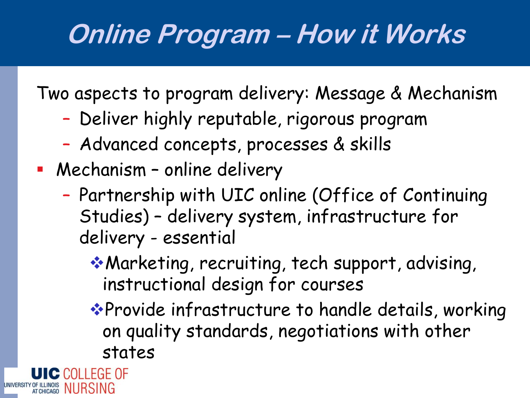## **Online Program – How it Works**

Two aspects to program delivery: Message & Mechanism

- Deliver highly reputable, rigorous program
- Advanced concepts, processes & skills
- Mechanism online delivery
	- Partnership with UIC online (Office of Continuing Studies) – delivery system, infrastructure for delivery - essential
		- Marketing, recruiting, tech support, advising, instructional design for courses
		- \*Provide infrastructure to handle details, working on quality standards, negotiations with other states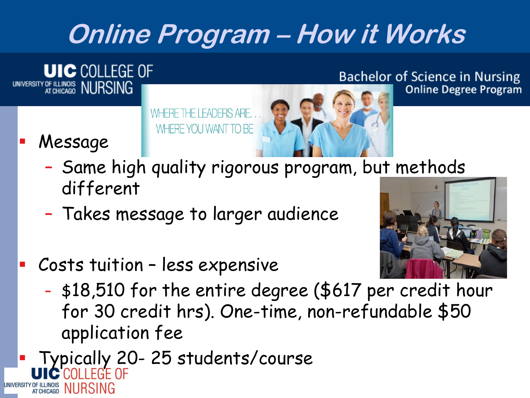### **Online Program – How it Works**

**UIC COLLEGE OF** UNIVERSITY OF ILLINOIS NURSING

**Bachelor of Science in Nursing Online Degree Program** 

WHERE THE LEADERS ARE. WHERE YOU WANT TO BE



Message

- Same high quality rigorous program, but methods different
- Takes message to larger audience



- Costs tuition less expensive
	- \$18,510 for the entire degree (\$617 per credit hour for 30 credit hrs). One-time, non-refundable \$50 application fee
- Typically 20-25 students/course UNIVERSITY OF ILLINOIS NURSING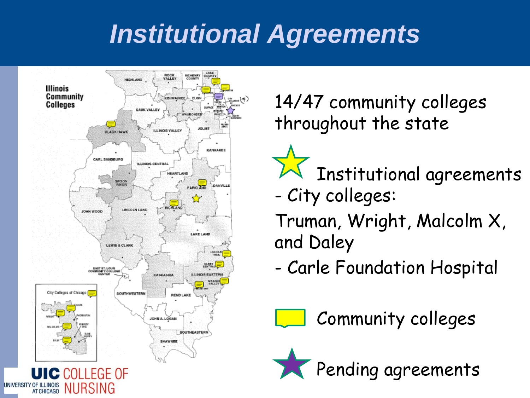### *Institutional Agreements*



14/47 community colleges throughout the state

 Institutional agreements - City colleges: Truman, Wright, Malcolm X, and Daley

- Carle Foundation Hospital

Community colleges

Pending agreements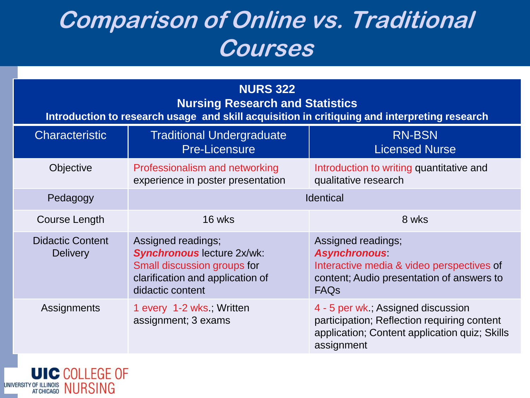### **Comparison of Online vs. Traditional Courses**

| <b>NURS 322</b><br><b>Nursing Research and Statistics</b><br>Introduction to research usage and skill acquisition in critiquing and interpreting research |                                                                                                                                                |                                                                                                                                                    |  |
|-----------------------------------------------------------------------------------------------------------------------------------------------------------|------------------------------------------------------------------------------------------------------------------------------------------------|----------------------------------------------------------------------------------------------------------------------------------------------------|--|
| <b>Characteristic</b>                                                                                                                                     | <b>Traditional Undergraduate</b><br><b>Pre-Licensure</b>                                                                                       | <b>RN-BSN</b><br><b>Licensed Nurse</b>                                                                                                             |  |
| Objective                                                                                                                                                 | Professionalism and networking<br>experience in poster presentation                                                                            | Introduction to writing quantitative and<br>qualitative research                                                                                   |  |
| Pedagogy                                                                                                                                                  | <b>Identical</b>                                                                                                                               |                                                                                                                                                    |  |
| Course Length                                                                                                                                             | 16 wks                                                                                                                                         | 8 wks                                                                                                                                              |  |
| <b>Didactic Content</b><br><b>Delivery</b>                                                                                                                | Assigned readings;<br><b>Synchronous lecture 2x/wk:</b><br>Small discussion groups for<br>clarification and application of<br>didactic content | Assigned readings;<br><b>Asynchronous</b><br>Interactive media & video perspectives of<br>content; Audio presentation of answers to<br><b>FAQs</b> |  |
| Assignments                                                                                                                                               | 1 every 1-2 wks, Written<br>assignment; 3 exams                                                                                                | 4 - 5 per wk.; Assigned discussion<br>participation; Reflection requiring content<br>application; Content application quiz; Skills<br>assignment   |  |

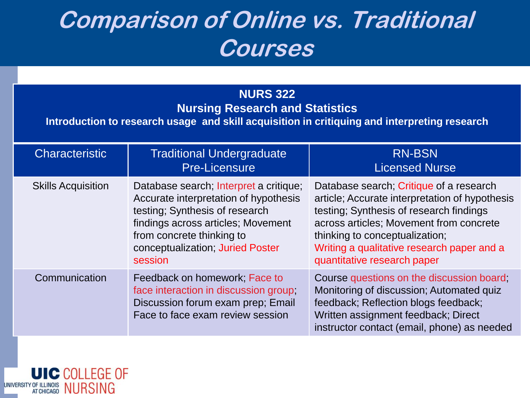### **Comparison of Online vs. Traditional Courses**

#### **NURS 322**

**Nursing Research and Statistics**

**Introduction to research usage and skill acquisition in critiquing and interpreting research**

| <b>Characteristic</b>     | <b>Traditional Undergraduate</b><br><b>Pre-Licensure</b>                                                                                                                                                                            | <b>RN-BSN</b><br><b>Licensed Nurse</b>                                                                                                                                                                                                                                                         |
|---------------------------|-------------------------------------------------------------------------------------------------------------------------------------------------------------------------------------------------------------------------------------|------------------------------------------------------------------------------------------------------------------------------------------------------------------------------------------------------------------------------------------------------------------------------------------------|
| <b>Skills Acquisition</b> | Database search; Interpret a critique;<br>Accurate interpretation of hypothesis<br>testing; Synthesis of research<br>findings across articles; Movement<br>from concrete thinking to<br>conceptualization; Juried Poster<br>session | Database search; Critique of a research<br>article; Accurate interpretation of hypothesis<br>testing; Synthesis of research findings<br>across articles; Movement from concrete<br>thinking to conceptualization;<br>Writing a qualitative research paper and a<br>quantitative research paper |
| Communication             | Feedback on homework; Face to<br>face interaction in discussion group;<br>Discussion forum exam prep; Email<br>Face to face exam review session                                                                                     | Course questions on the discussion board;<br>Monitoring of discussion; Automated quiz<br>feedback; Reflection blogs feedback;<br>Written assignment feedback; Direct<br>instructor contact (email, phone) as needed                                                                            |

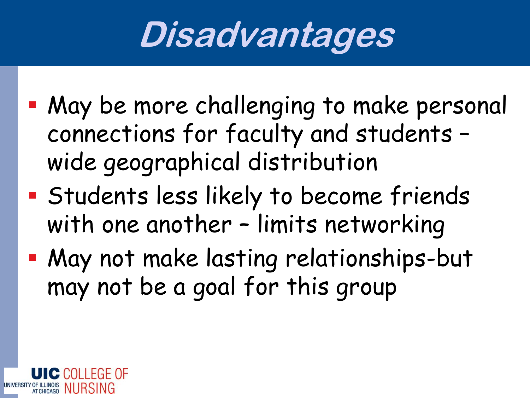# **Disadvantages**

- May be more challenging to make personal connections for faculty and students – wide geographical distribution
- Students less likely to become friends with one another – limits networking
- May not make lasting relationships-but may not be a goal for this group

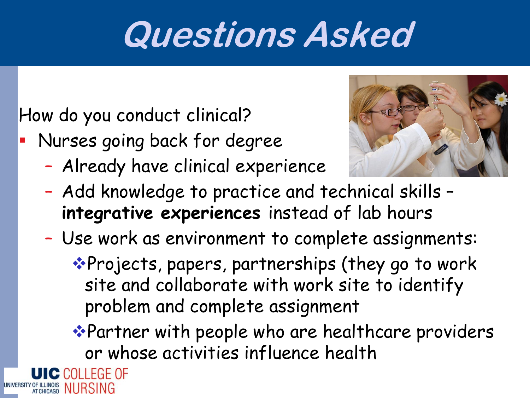## **Questions Asked**

How do you conduct clinical?

- Nurses going back for degree
	- Already have clinical experience



- Add knowledge to practice and technical skills **integrative experiences** instead of lab hours
- Use work as environment to complete assignments:

\*Projects, papers, partnerships (they go to work site and collaborate with work site to identify problem and complete assignment

Partner with people who are healthcare providers or whose activities influence health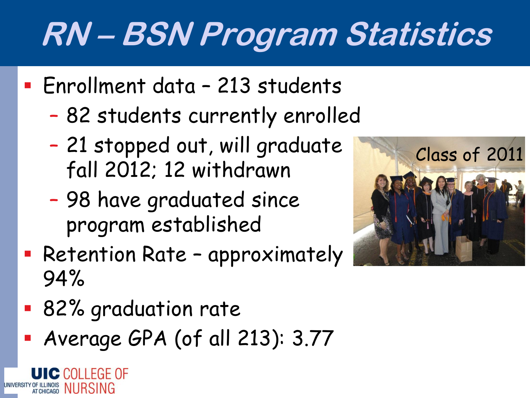# **RN – BSN Program Statistics**

- Enrollment data 213 students
	- 82 students currently enrolled
	- 21 stopped out, will graduate fall 2012; 12 withdrawn
	- 98 have graduated since program established
- **Retention Rate approximately** 94%
- 82% graduation rate

NURSING

Average GPA (of all 213): 3.77

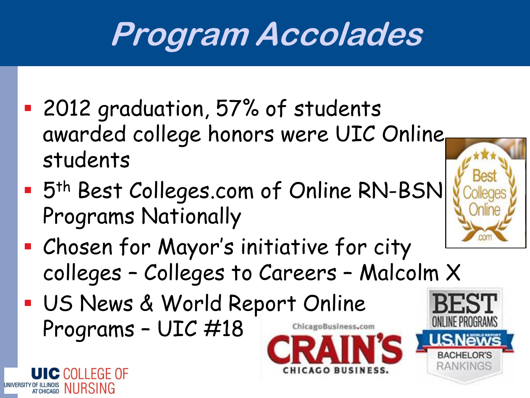## **Program Accolades**

- 2012 graduation, 57% of students awarded college honors were UIC Online students
- **5th Best Colleges.com of Online RN-BSN** Programs Nationally
- Chosen for Mayor's initiative for city colleges – Colleges to Careers – Malcolm X
- US News & World Report Online Programs – UIC #18ChicagoBusiness.com

C COLLEGE OF

NURSING



**GO BUSINESS**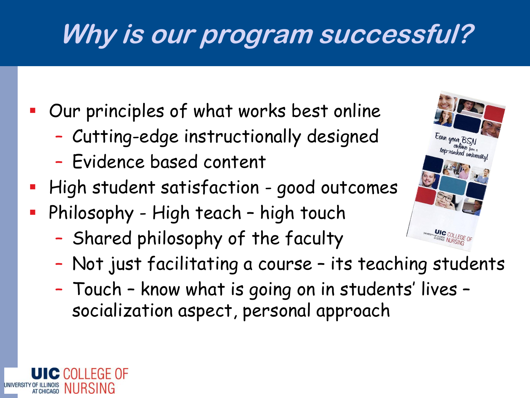## **Why is our program successful?**

Our principles of what works best online

- Cutting-edge instructionally designed
- Evidence based content
- **High student satisfaction good outcomes**
- **Philosophy High teach high touch** 
	- Shared philosophy of the faculty
	- Not just facilitating a course its teaching students
	- Touch know what is going on in students' lives socialization aspect, personal approach